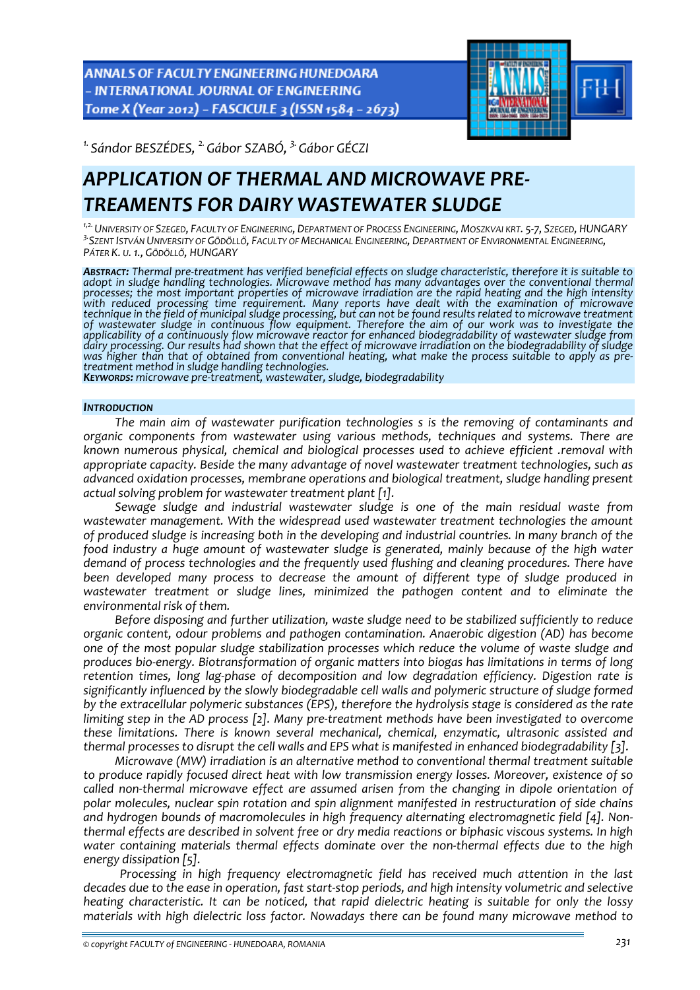ANNALS OF FACULTY ENGINEERING HUNEDOARA - INTERNATIONAL JOURNAL OF ENGINEERING Tome X (Year 2012) - FASCICULE 3 (ISSN 1584 - 2673)



*1. Sándor BESZÉDES, 2.Gábor SZABÓ, 3.Gábor GÉCZI* 

# *APPLICATION OF THERMAL AND MICROWAVE PRE‐ TREAMENTS FOR DAIRY WASTEWATER SLUDGE*

<sup>1,2.</sup> UNIVERSITY OF SZEGED, FACULTY OF ENGINEERING, DEPARTMENT OF PROCESS ENGINEERING, MOSZKVAI KRT. 5-7, SZEGED, HUNGARY <sup>3</sup> SZENT ISTVÁN UNIVERSITY OF GÖDÖLLŐ, FACULTY OF MECHANICAL ENGINEERING, DEPARTMENT OF ENVIRONMENTAL ENGINEERING,<br>PÁTER K. u. 1., GÖDÖLLŐ, HUNGARY

ABSTRACT: Thermal pre-treatment has verified beneficial effects on sludge characteristic, therefore it is suitable to *adopt in sludge handling technologies. Microwave method has many advantages over the conventional thermal* processes; the most important properties of microwave irradiation are the rapid heating and the high intensity<br>with reduced processing time requirement. Many reports have dealt with the examination of microwave technique in the field of municipal sludge processing, but can not be found results related to microwave treatment *of wastewater sludge in continuous flow equipment. Therefore the aim of our work was to investigate the* applicability of a continuously flow microwave reactor for enhanced biodegradability of wastewater sludge from<br>dairy processing. Our results had shown that the effect of microwave irradiation on the biodegradability of slu dairy processing. Our results had shown that the effect of microwave irradiation on the biodegradability of sludge<br>was higher than that of obtained from conventional heating, what make the process suitable to apply as pre-

## *INTRODUCTION*

*The main aim of wastewater purification technologies s is the removing of contaminants and organic components from wastewater using various methods, techniques and systems. There are known numerous physical, chemical and biological processes used to achieve efficient .removal with appropriate capacity. Beside the many advantage of novel wastewater treatment technologies, such as advanced oxidation processes, membrane operations and biological treatment, sludge handling present actual solving problem for wastewater treatment plant [1].* 

*Sewage sludge and industrial wastewater sludge is one of the main residual waste from wastewater management. With the widespread used wastewater treatment technologies the amount of produced sludge is increasing both in the developing and industrial countries. In many branch of the food industry a huge amount of wastewater sludge is generated, mainly because of the high water demand of process technologies and the frequently used flushing and cleaning procedures. There have been developed many process to decrease the amount of different type of sludge produced in wastewater treatment or sludge lines, minimized the pathogen content and to eliminate the environmental risk of them.* 

*Before disposing and further utilization, waste sludge need to be stabilized sufficiently to reduce organic content, odour problems and pathogen contamination. Anaerobic digestion (AD) has become one of the most popular sludge stabilization processes which reduce the volume of waste sludge and produces bio‐energy. Biotransformation of organic matters into biogas has limitations in terms of long retention times, long lag‐phase of decomposition and low degradation efficiency. Digestion rate is significantly influenced by the slowly biodegradable cell walls and polymeric structure of sludge formed by the extracellular polymeric substances (EPS), therefore the hydrolysis stage is considered as the rate limiting step in the AD process [2]. Many pre‐treatment methods have been investigated to overcome these limitations. There is known several mechanical, chemical, enzymatic, ultrasonic assisted and* thermal processes to disrupt the cell walls and EPS what is manifested in enhanced biodegradability [3].

*Microwave (MW) irradiation is an alternative method to conventional thermal treatment suitable to produce rapidly focused direct heat with low transmission energy losses. Moreover, existence of so called non‐thermal microwave effect are assumed arisen from the changing in dipole orientation of polar molecules, nuclear spin rotation and spin alignment manifested in restructuration of side chains and hydrogen bounds of macromolecules in high frequency alternating electromagnetic field [4]. Non‐ thermal effects are described in solvent free or dry media reactions or biphasic viscous systems. In high water containing materials thermal effects dominate over the non‐thermal effects due to the high energy dissipation [5].* 

*Processing in high frequency electromagnetic field has received much attention in the last* decades due to the ease in operation, fast start-stop periods, and high intensity volumetric and selective *heating characteristic. It can be noticed, that rapid dielectric heating is suitable for only the lossy materials with high dielectric loss factor. Nowadays there can be found many microwave method to*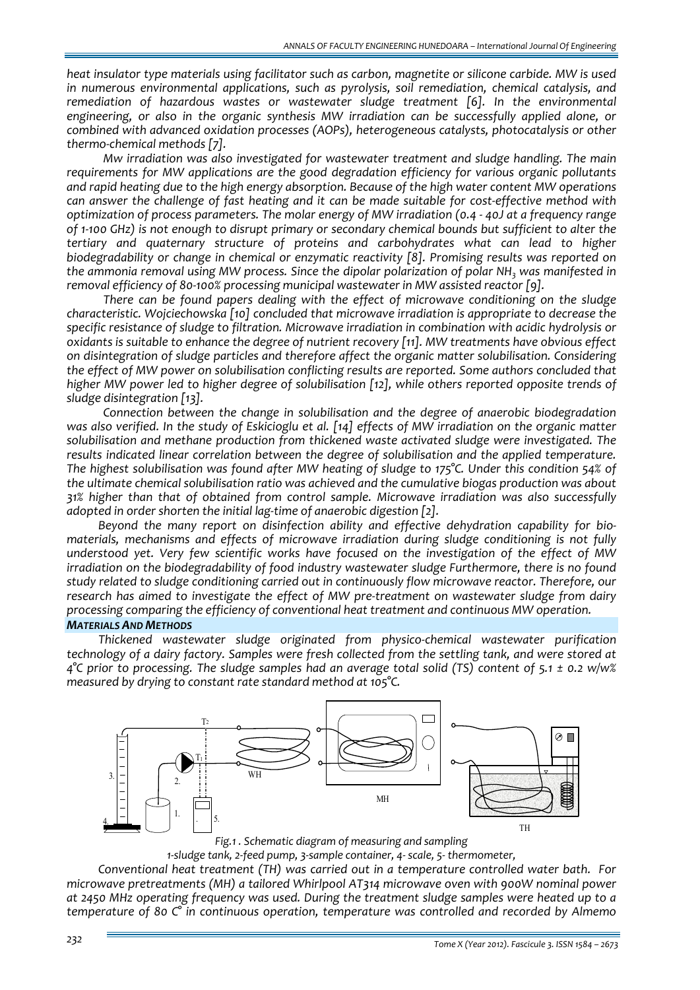*heat insulator type materials using facilitator such as carbon, magnetite or silicone carbide. MW is used in numerous environmental applications, such as pyrolysis, soil remediation, chemical catalysis, and remediation of hazardous wastes or wastewater sludge treatment [6]. In the environmental engineering, or also in the organic synthesis MW irradiation can be successfully applied alone, or combined with advanced oxidation processes (AOPs), heterogeneous catalysts, photocatalysis or other thermo‐chemical methods [7].* 

*Mw irradiation was also investigated for wastewater treatment and sludge handling. The main requirements for MW applications are the good degradation efficiency for various organic pollutants and rapid heating due to the high energy absorption. Because of the high water content MW operations* can answer the challenge of fast heating and it can be made suitable for cost-effective method with *optimization of process parameters. The molar energy of MW irradiation (0.4 ‐ 40J at a frequency range* of 1-100 GHz) is not enough to disrupt primary or secondary chemical bounds but sufficient to alter the *tertiary and quaternary structure of proteins and carbohydrates what can lead to higher biodegradability or change in chemical or enzymatic reactivity [8]. Promising results was reported on the ammonia removal using MW process. Since the dipolar polarization of polar NH3 was manifested in removal efficiency of 80‐100% processing municipal wastewater in MW assisted reactor [9].*

*There can be found papers dealing with the effect of microwave conditioning on the sludge characteristic. Wojciechowska [10] concluded that microwave irradiation is appropriate to decrease the specific resistance of sludge to filtration. Microwave irradiation in combination with acidic hydrolysis or oxidants is suitable to enhance the degree of nutrient recovery [11]. MW treatments have obvious effect on disintegration of sludge particles and therefore affect the organic matter solubilisation. Considering the effect of MW power on solubilisation conflicting results are reported. Some authors concluded that higher MW power led to higher degree of solubilisation [12], while others reported opposite trends of sludge disintegration [13].* 

*Connection between the change in solubilisation and the degree of anaerobic biodegradation* was also verified. In the study of Eskicioglu et al. [14] effects of MW irradiation on the organic matter *solubilisation and methane production from thickened waste activated sludge were investigated. The results indicated linear correlation between the degree of solubilisation and the applied temperature. The highest solubilisation was found after MW heating of sludge to 175°C. Under this condition 54% of the ultimate chemical solubilisation ratio was achieved and the cumulative biogas production was about 31% higher than that of obtained from control sample. Microwave irradiation was also successfully adopted in order shorten the initial lag‐time of anaerobic digestion [2].*

*Beyond the many report on disinfection ability and effective dehydration capability for bio‐ materials, mechanisms and effects of microwave irradiation during sludge conditioning is not fully understood yet. Very few scientific works have focused on the investigation of the effect of MW irradiation on the biodegradability of food industry wastewater sludge Furthermore, there is no found study related to sludge conditioning carried out in continuously flow microwave reactor. Therefore, our research has aimed to investigate the effect of MW pre‐treatment on wastewater sludge from dairy processing comparing the efficiency of conventional heat treatment and continuous MW operation.*

## *MATERIALS AND METHODS*

*Thickened wastewater sludge originated from physico‐chemical wastewater purification technology of a dairy factory. Samples were fresh collected from the settling tank, and were stored at*  $4^{\circ}$ C prior to processing. The sludge samples had an average total solid (TS) content of 5.1 ± 0.2 w/w% *measured by drying to constant rate standard method at 105°C.* 





*1‐sludge tank, 2‐feed pump, 3‐sample container, 4‐ scale, 5‐ thermometer,*

*Conventional heat treatment (TH) was carried out in a temperature controlled water bath. For microwave pretreatments (MH) a tailored Whirlpool AT314 microwave oven with 900W nominal power at 2450 MHz operating frequency was used. During the treatment sludge samples were heated up to a temperature of 80 C° in continuous operation, temperature was controlled and recorded by Almemo*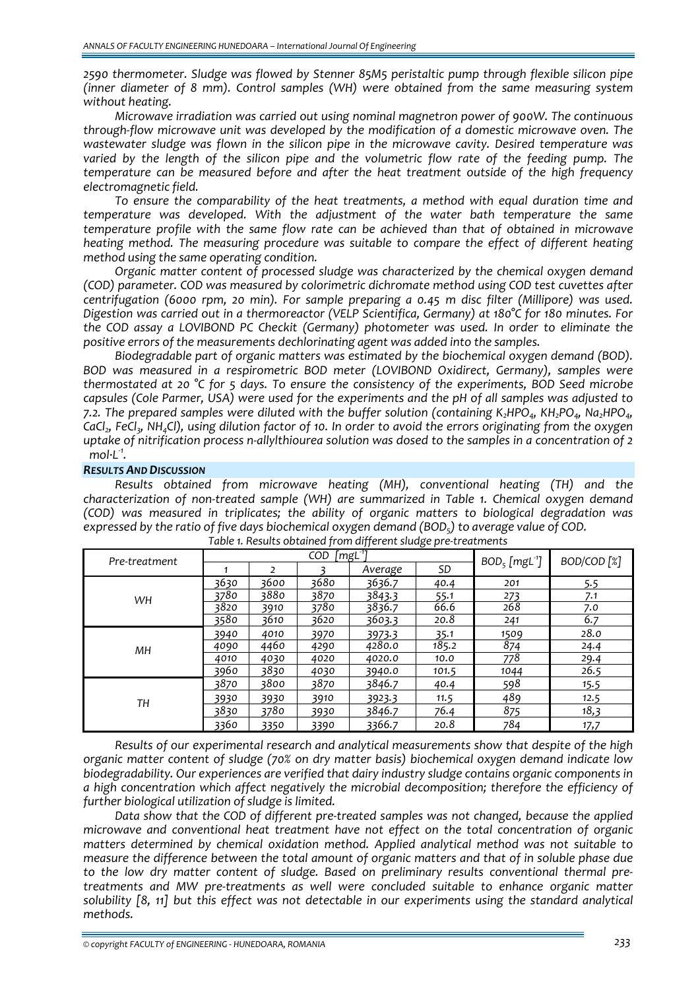*2590 thermometer. Sludge was flowed by Stenner 85M5 peristaltic pump through flexible silicon pipe (inner diameter of 8 mm). Control samples (WH) were obtained from the same measuring system without heating.* 

*Microwave irradiation was carried out using nominal magnetron power of 900W. The continuous through‐flow microwave unit was developed by the modification of a domestic microwave oven. The wastewater sludge was flown in the silicon pipe in the microwave cavity. Desired temperature was varied by the length of the silicon pipe and the volumetric flow rate of the feeding pump. The temperature can be measured before and after the heat treatment outside of the high frequency electromagnetic field.* 

*To ensure the comparability of the heat treatments, a method with equal duration time and temperature was developed. With the adjustment of the water bath temperature the same temperature profile with the same flow rate can be achieved than that of obtained in microwave heating method. The measuring procedure was suitable to compare the effect of different heating method using the same operating condition.* 

*Organic matter content of processed sludge was characterized by the chemical oxygen demand (COD) parameter. COD was measured by colorimetric dichromate method using COD test cuvettes after centrifugation (6000 rpm, 20 min). For sample preparing a 0.45m disc filter (Millipore) was used. Digestion was carried out in a thermoreactor (VELP Scientifica, Germany) at 180°C for 180 minutes. For the COD assay a LOVIBOND PC Checkit (Germany) photometer was used. In order to eliminate the positive errors of the measurements dechlorinating agent was added into the samples.*

*Biodegradable part of organic matters was estimated by the biochemical oxygen demand (BOD). BOD was measured in a respirometric BOD meter (LOVIBOND Oxidirect, Germany), samples were thermostated at 20 °C for 5 days. To ensure the consistency of the experiments, BOD Seed microbe* capsules (Cole Parmer, USA) were used for the experiments and the pH of all samples was adjusted to *7.2. The prepared samples were diluted with the buffer solution (containing K2HPO4, KH2PO4, Na2HPO4,* CaCl<sub>2</sub>, FeCl<sub>3</sub>, NH<sub>4</sub>Cl), using dilution factor of 10. In order to avoid the errors originating from the oxygen uptake of nitrification process n-allylthiourea solution was dosed to the samples in a concentration of 2 *mol∙L‐<sup>1</sup> .*

## *RESULTS AND DISCUSSION*

*Results obtained from microwave heating (MH), conventional heating (TH) and the characterization of non‐treated sample (WH) are summarized in Table 1. Chemical oxygen demand (COD) was measured in triplicates; the ability of organic matters to biological degradation was expressed by the ratio of five days biochemical oxygen demand (BOD5) to average value of COD.*

| Pre-treatment | $\lceil \mathsf{mgL}^1 \rceil$<br><b>COD</b> |      |      |         |           | $BOD_5$ [mgL <sup>-1</sup> ] | BOD/COD <sup>[%]</sup> |
|---------------|----------------------------------------------|------|------|---------|-----------|------------------------------|------------------------|
|               |                                              | 2    |      | Average | <b>SD</b> |                              |                        |
| WH            | 3630                                         | 3600 | 3680 | 3636.7  | 40.4      | 201                          | 5.5                    |
|               | 3780                                         | 3880 | 3870 | 3843.3  | 55.1      | 273                          | 7.1                    |
|               | 3820                                         | 3910 | 3780 | 3836.7  | 66.6      | 268                          | 7.0                    |
|               | 3580                                         | 3610 | 3620 | 3603.3  | 20.8      | 241                          | 6.7                    |
| MН            | 3940                                         | 4010 | 3970 | 3973.3  | 35.1      | 1509                         | 28.0                   |
|               | 4090                                         | 4460 | 4290 | 4280.0  | 185.2     | 874                          | 24.4                   |
|               | 4010                                         | 4030 | 4020 | 4020.0  | 10.0      | 778                          | 29.4                   |
|               | 3960                                         | 3830 | 4030 | 3940.0  | 101.5     | 1044                         | 26.5                   |
| TН            | 3870                                         | 3800 | 3870 | 3846.7  | 40.4      | 598                          | 15.5                   |
|               | 3930                                         | 3930 | 3910 | 3923.3  | 11.5      | 489                          | 12.5                   |
|               | 3830                                         | 3780 | 3930 | 3846.7  | 76.4      | 875                          | 18,3                   |
|               | 3360                                         | 3350 | 3390 | 3366.7  | 20.8      | 784                          | 17,7                   |

| Table 1. Results obtained from different sludge pre-treatments |  |  |  |
|----------------------------------------------------------------|--|--|--|
|----------------------------------------------------------------|--|--|--|

*Results of our experimental research and analytical measurements show that despite of the high organic matter content of sludge (70% on dry matter basis) biochemical oxygen demand indicate low biodegradability. Our experiences are verified that dairy industry sludge contains organic components in a high concentration which affect negatively the microbial decomposition; therefore the efficiency of further biological utilization of sludge is limited.*

*Data show that the COD of different pre‐treated samples was not changed, because the applied microwave and conventional heat treatment have not effect on the total concentration of organic matters determined by chemical oxidation method. Applied analytical method was not suitable to measure the difference between the total amount of organic matters and that of in soluble phase due to the low dry matter content of sludge. Based on preliminary results conventional thermal pre‐ treatments and MW pre‐treatments as well were concluded suitable to enhance organic matter solubility [8, 11] but this effect was not detectable in our experiments using the standard analytical methods.*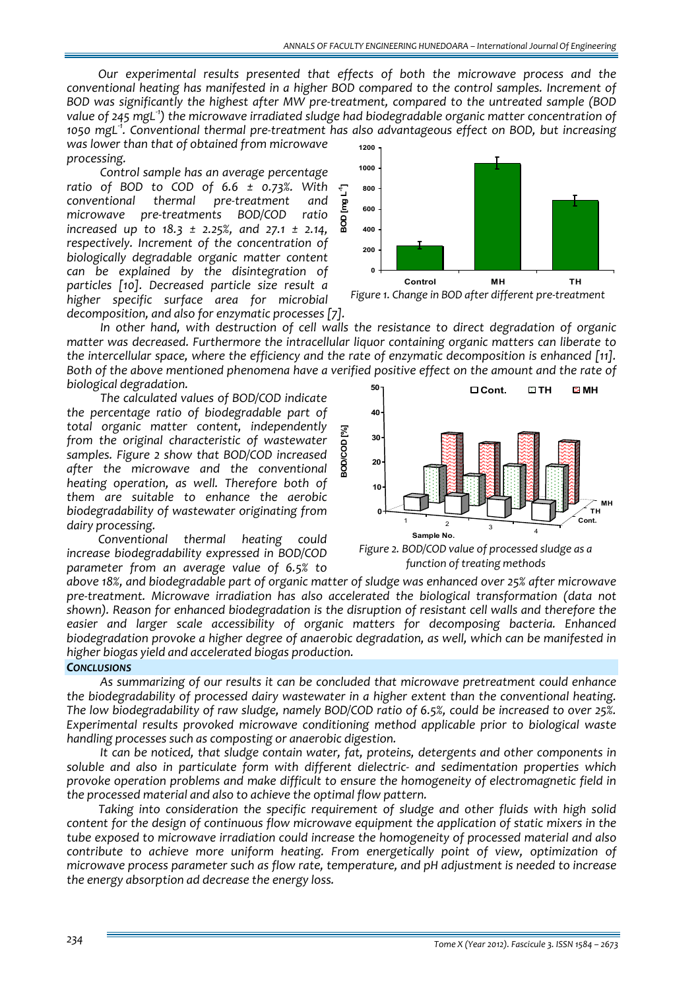*Our experimental results presented that effects of both the microwave process and the conventional heating has manifested in a higher BOD compared to the control samples. Increment of BOD was significantly the highest after MW pre‐treatment, compared to the untreated sample (BOD value of 245 mgL‐<sup>1</sup> ) the microwave irradiated sludge had biodegradable organic matter concentration of* 1050 mgL<sup>-1</sup>. Conventional thermal pre-treatment has also advantageous effect on BOD, but increasing *was lower than that of obtained from microwave* **1200**

*processing. Control sample has an average percentage ratio of BOD to COD of 6.6 ± 0.73%. With conventional thermal pre‐treatment and microwave pre‐treatments BOD/COD ratio increased up to 18.3 ± 2.25%, and 27.1 ± 2.14, respectively. Increment of the concentration of biologically degradable organic matter content can be explained by the disintegration of particles [10]. Decreased particle size result a higher specific surface area for microbial decomposition, and also for enzymatic processes [7].* 

*In other hand, with destruction of cell walls the resistance to direct degradation of organic matter was decreased. Furthermore the intracellular liquor containing organic matters can liberate to the intercellular space, where the efficiency and the rate of enzymatic decomposition is enhanced [11].* Both of the above mentioned phenomena have a verified positive effect on the amount and the rate of *biological degradation.*  **50**

**BOD/COD [%]**

laopkaos

 $\mathbb{Z}$ 

*The calculated values of BOD/COD indicate the percentage ratio of biodegradable part of total organic matter content, independently from the original characteristic of wastewater samples. Figure 2 show that BOD/COD increased after the microwave and the conventional heating operation, as well. Therefore both of them are suitable to enhance the aerobic biodegradability of wastewater originating from dairy processing.* 

*Conventional thermal heating could increase biodegradability expressed in BOD/COD parameter from an average value of 6.5% to*

 $\begin{array}{c|c}\n1 & 2 & 3 \\
\hline\n\end{array}$ **Cont. TH MH 0 10 20 30 40 Sample No. Cont. TH MH**

*Figure 2. BOD/COD value of processed sludge as a function of treating methods*

*above 18%, and biodegradable part of organic matter of sludge was enhanced over 25% after microwave pre‐treatment. Microwave irradiation has also accelerated the biological transformation (data not shown). Reason for enhanced biodegradation is the disruption of resistant cell walls and therefore the easier and larger scale accessibility of organic matters for decomposing bacteria. Enhanced biodegradation provoke a higher degree of anaerobic degradation, as well, which can be manifested in higher biogas yield and accelerated biogas production.*

### *CONCLUSIONS*

*As summarizing of our results it can be concluded that microwave pretreatment could enhance the biodegradability of processed dairy wastewater in a higher extent than the conventional heating. The low biodegradability of raw sludge, namely BOD/COD ratio of 6.5%, could be increased to over 25%. Experimental results provoked microwave conditioning method applicable prior to biological waste handling processes such as composting or anaerobic digestion.* 

*It can be noticed, that sludge contain water, fat, proteins, detergents and other components in soluble and also in particulate form with different dielectric‐ and sedimentation properties which provoke operation problems and make difficult to ensure the homogeneity of electromagnetic field in the processed material and also to achieve the optimal flow pattern.* 

*Taking into consideration the specific requirement of sludge and other fluids with high solid content for the design of continuous flow microwave equipment the application of static mixers in the tube exposed to microwave irradiation could increase the homogeneity of processed material and also contribute to achieve more uniform heating. From energetically point of view, optimization of microwave process parameter such as flow rate, temperature, and pH adjustment is needed to increase the energy absorption ad decrease the energy loss.*





*Figure 1. Change in BOD after different pre‐treatment*